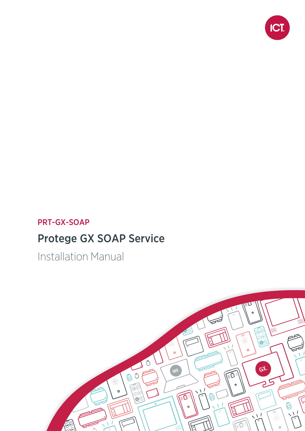

## PRT-GX-SOAP

## Protege GX SOAP Service

Installation Manual

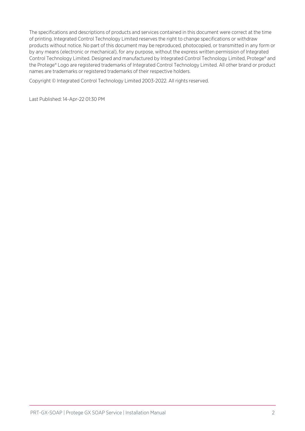The specifications and descriptions of products and services contained in this document were correct at the time of printing. Integrated Control Technology Limited reserves the right to change specifications or withdraw products without notice. No part of this document may be reproduced, photocopied, or transmitted in any form or by any means (electronic or mechanical), for any purpose, without the express written permission of Integrated Control Technology Limited. Designed and manufactured by Integrated Control Technology Limited, Protege® and the Protege® Logo are registered trademarks of Integrated Control Technology Limited. All other brand or product names are trademarks or registered trademarks of their respective holders.

Copyright © Integrated Control Technology Limited 2003-2022. All rights reserved.

Last Published: 14-Apr-22 01:30 PM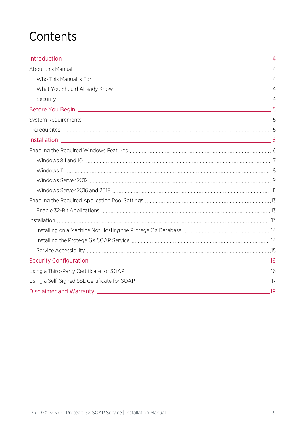## **Contents**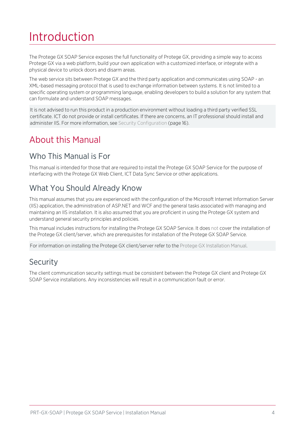# <span id="page-3-0"></span>Introduction

The Protege GX SOAP Service exposes the full functionality of Protege GX, providing a simple way to access Protege GX via a web platform, build your own application with a customized interface, or integrate with a physical device to unlock doors and disarm areas.

The web service sits between Protege GX and the third party application and communicates using SOAP - an XML-based messaging protocol that is used to exchange information between systems. It is not limited to a specific operating system or programming language, enabling developers to build a solution for any system that can formulate and understand SOAP messages.

It is not advised to run this product in a production environment without loading a third party verified SSL certificate. ICT do not provide or install certificates. If there are concerns, an IT professional should install and administer IIS. For more information, see Security [Configuration](#page-15-0) (page 16).

## <span id="page-3-2"></span><span id="page-3-1"></span>About this Manual

### Who This Manual is For

<span id="page-3-3"></span>This manual is intended for those that are required to install the Protege GX SOAP Service for the purpose of interfacing with the Protege GX Web Client, ICT Data Sync Service or other applications.

## What You Should Already Know

This manual assumes that you are experienced with the configuration of the Microsoft Internet Information Server (IIS) application, the administration of ASP.NET and WCF and the general tasks associated with managing and maintaining an IIS installation. It is also assumed that you are proficient in using the Protege GX system and understand general security principles and policies.

This manual includes instructions for installing the Protege GX SOAP Service. It does not cover the installation of the Protege GX client/server, which are prerequisites for installation of the Protege GX SOAP Service.

<span id="page-3-4"></span>For information on installing the Protege GX client/server refer to the Protege GX Installation Manual.

### Security

The client communication security settings must be consistent between the Protege GX client and Protege GX SOAP Service installations. Any inconsistencies will result in a communication fault or error.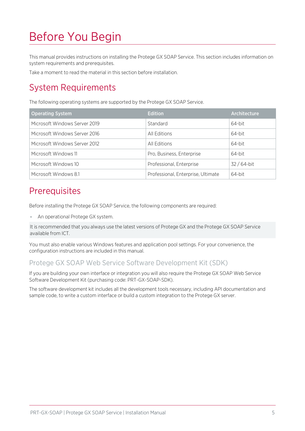# <span id="page-4-0"></span>Before You Begin

This manual provides instructions on installing the Protege GX SOAP Service. This section includes information on system requirements and prerequisites.

<span id="page-4-1"></span>Take a moment to read the material in this section before installation.

## System Requirements

The following operating systems are supported by the Protege GX SOAP Service.

| <b>Operating System</b>       | <b>Edition</b>                     | Architecture |
|-------------------------------|------------------------------------|--------------|
| Microsoft Windows Server 2019 | Standard                           | 64-bit       |
| Microsoft Windows Server 2016 | All Editions                       | 64-bit       |
| Microsoft Windows Server 2012 | All Editions                       | 64-bit       |
| Microsoft Windows 11          | Pro, Business, Enterprise          | 64-bit       |
| Microsoft Windows 10          | Professional, Enterprise           | $32/64$ -bit |
| Microsoft Windows 8.1         | Professional, Enterprise, Ultimate | 64-bit       |

## <span id="page-4-2"></span>**Prerequisites**

Before installing the Protege GX SOAP Service, the following components are required:

⦁ An operational Protege GX system.

It is recommended that you always use the latest versions of Protege GX and the Protege GX SOAP Service available from ICT.

You must also enable various Windows features and application pool settings. For your convenience, the configuration instructions are included in this manual.

#### Protege GX SOAP Web Service Software Development Kit (SDK)

If you are building your own interface or integration you will also require the Protege GX SOAP Web Service Software Development Kit (purchasing code: PRT-GX-SOAP-SDK).

The software development kit includes all the development tools necessary, including API documentation and sample code, to write a custom interface or build a custom integration to the Protege GX server.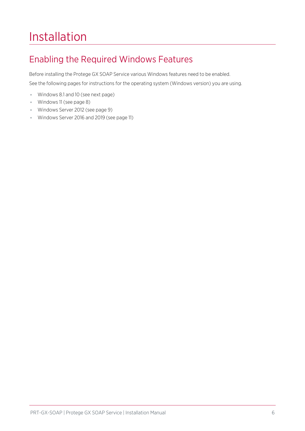# <span id="page-5-0"></span>Installation

## <span id="page-5-1"></span>Enabling the Required Windows Features

Before installing the Protege GX SOAP Service various Windows features need to be enabled. See the following pages for instructions for the operating system (Windows version) you are using.

- ⦁ Windows 8.1 and 10 (see next [page\)](#page-6-0)
- ⦁ Windows 11 (see [page 8\)](#page-7-0)
- ⦁ Windows Server 2012 (see [page 9\)](#page-8-0)
- ⦁ Windows Server 2016 and 2019 (see [page 11\)](#page-10-0)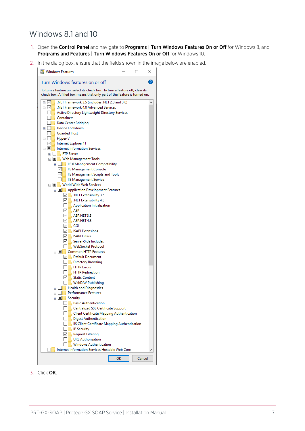### <span id="page-6-0"></span>Windows 8.1 and 10

- 1. Open the Control Panel and navigate to Programs | Turn Windows Features On or Off for Windows 8, and Programs and Features | Turn Windows Features On or Off for Windows 10.
- 2. In the dialog box, ensure that the fields shown in the image below are enabled.



3. Click OK.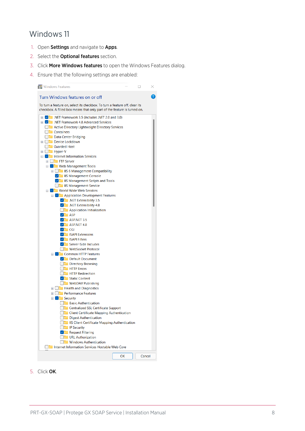### <span id="page-7-0"></span>Windows 11

- 1. Open Settings and navigate to Apps.
- 2. Select the Optional features section.
- 3. Click More Windows features to open the Windows Features dialog.
- 4. Ensure that the following settings are enabled:



5. Click OK.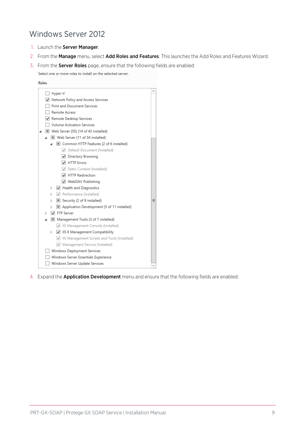### <span id="page-8-0"></span>Windows Server 2012

- 1. Launch the Server Manager.
- 2. From the Manage menu, select Add Roles and Features. This launches the Add Roles and Features Wizard.
- 3. From the **Server Roles** page, ensure that the following fields are enabled:

Select one or more roles to install on the selected server.



4. Expand the **Application Development** menu and ensure that the following fields are enabled: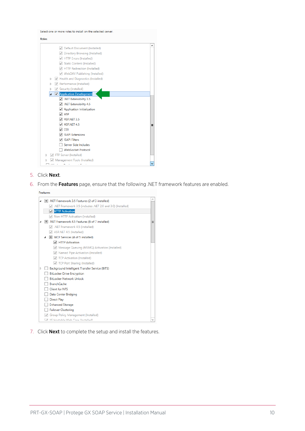Select one or more roles to install on the selected server.



- 5. Click Next.
- 6. From the Features page, ensure that the following .NET framework features are enabled.

Features



7. Click **Next** to complete the setup and install the features.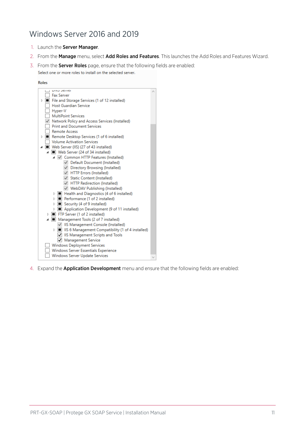### <span id="page-10-0"></span>Windows Server 2016 and 2019

- 1. Launch the Server Manager.
- 2. From the Manage menu, select Add Roles and Features. This launches the Add Roles and Features Wizard.
- 3. From the **Server Roles** page, ensure that the following fields are enabled: Select one or more roles to install on the selected server.



4. Expand the **Application Development** menu and ensure that the following fields are enabled: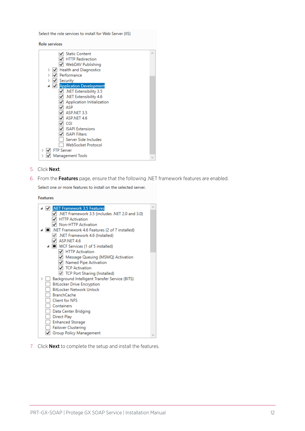Select the role services to install for Web Server (IIS)

**Role services** 

| √ Static Content                        |  |
|-----------------------------------------|--|
| <b>HTTP Redirection</b>                 |  |
| V WebDAV Publishing                     |  |
| <b>Health and Diagnostics</b><br>Þ<br>⊻ |  |
| Performance                             |  |
| Security                                |  |
| Application Development                 |  |
| NET Extensibility 3.5                   |  |
| .NET Extensibility 4.6                  |  |
| <b>Application Initialization</b>       |  |
| ASP                                     |  |
| ASP.NET 3.5                             |  |
| ASP.NET 4.6                             |  |
| CGI                                     |  |
| <b>ISAPI Extensions</b>                 |  |
| <b>ISAPI Filters</b>                    |  |
| Server Side Includes                    |  |
| <b>WebSocket Protocol</b>               |  |
| <b>FTP Server</b>                       |  |
| Management Tools                        |  |
|                                         |  |

- 5. Click Next.
- 6. From the Features page, ensure that the following .NET framework features are enabled.

Select one or more features to install on the selected server.

Features



7. Click **Next** to complete the setup and install the features.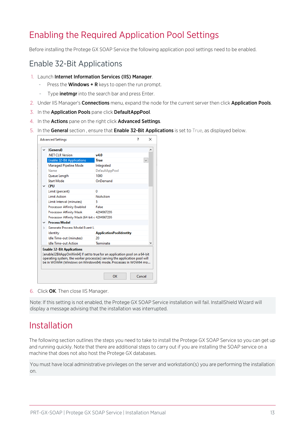## <span id="page-12-0"></span>Enabling the Required Application Pool Settings

<span id="page-12-1"></span>Before installing the Protege GX SOAP Service the following application pool settings need to be enabled.

#### Enable 32-Bit Applications

- 1. Launch Internet Information Services (IIS) Manager.
	- Press the **Windows + R** keys to open the run prompt.
	- Type **inetmgr** into the search bar and press Enter.
- 2. Under IIS Manager's **Connections** menu, expand the node for the current server then click **Application Pools**.
- 3. In the Application Pools pane click DefaultAppPool.
- 4. In the Actions pane on the right click Advanced Settings.
- 5. In the General section, ensure that Enable 32-Bit Applications is set to True, as displayed below.

|                    |                                              |                                | × |
|--------------------|----------------------------------------------|--------------------------------|---|
|                    | $\vee$ (General)                             |                                |   |
|                    | .NET CLR Version                             | v4.0                           |   |
|                    | <b>Enable 32-Bit Applications</b>            | <b>True</b>                    |   |
|                    | Managed Pipeline Mode                        | Integrated                     |   |
|                    | Name                                         | DefaultAppPool                 |   |
|                    | Queue Length                                 | 1000                           |   |
|                    | <b>Start Mode</b>                            | OnDemand                       |   |
| $\vee$ CPU         |                                              |                                |   |
|                    | Limit (percent)                              | 0                              |   |
|                    | <b>Limit Action</b>                          | <b>NoAction</b>                |   |
|                    | Limit Interval (minutes)                     | 5.                             |   |
|                    | <b>Processor Affinity Enabled</b>            | False                          |   |
|                    | <b>Processor Affinity Mask</b>               | 4294967295                     |   |
|                    | Processor Affinity Mask (64-bit c 4294967295 |                                |   |
|                    | $\times$ Process Model                       |                                |   |
| $\rightarrow$<br>۰ | Generate Process Model Event Li              |                                |   |
|                    | Identity                                     | <b>ApplicationPoolIdentity</b> |   |
|                    | Idle Time-out (minutes)                      | 20                             |   |
|                    | <b>Idle Time-out Action</b>                  | Terminate                      |   |

6. Click OK. Then close IIS Manager.

<span id="page-12-2"></span>Note: If this setting is not enabled, the Protege GX SOAP Service installation will fail. InstallShield Wizard will display a message advising that the installation was interrupted.

## Installation

The following section outlines the steps you need to take to install the Protege GX SOAP Service so you can get up and running quickly. Note that there are additional steps to carry out if you are installing the SOAP service on a machine that does not also host the Protege GX databases.

You must have local administrative privileges on the server and workstation(s) you are performing the installation on.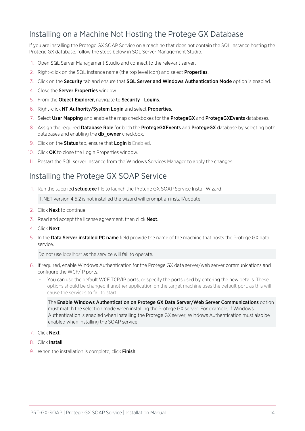### <span id="page-13-0"></span>Installing on a Machine Not Hosting the Protege GX Database

If you are installing the Protege GX SOAP Service on a machine that does not contain the SQL instance hosting the Protege GX database, follow the steps below in SQL Server Management Studio.

- 1. Open SQL Server Management Studio and connect to the relevant server.
- 2. Right-click on the SQL instance name (the top level icon) and select **Properties**.
- 3. Click on the Security tab and ensure that SQL Server and Windows Authentication Mode option is enabled.
- 4. Close the Server Properties window.
- 5. From the Object Explorer, navigate to Security | Logins.
- 6. Right-click NT Authority/System Login and select Properties.
- 7. Select User Mapping and enable the map checkboxes for the ProtegeGX and ProtegeGXEvents databases.
- 8. Assign the required Database Role for both the ProtegeGXEvents and ProtegeGX database by selecting both databases and enabling the **db\_owner** checkbox.
- 9. Click on the **Status** tab, ensure that Login is Enabled.
- 10. Click OK to close the Login Properties window.
- <span id="page-13-1"></span>11. Restart the SQL server instance from the Windows Services Manager to apply the changes.

#### Installing the Protege GX SOAP Service

1. Run the supplied setup.exe file to launch the Protege GX SOAP Service Install Wizard.

If .NET version 4.6.2 is not installed the wizard will prompt an install/update.

- 2. Click Next to continue.
- 3. Read and accept the license agreement, then click Next.
- 4. Click Next.
- 5. In the Data Server installed PC name field provide the name of the machine that hosts the Protege GX data service.

Do not use localhost as the service will fail to operate.

- 6. If required, enable Windows Authentication for the Protege GX data server/web server communications and configure the WCF/IP ports.
	- You can use the default WCF TCP/IP ports, or specify the ports used by entering the new details. These options should be changed if another application on the target machine uses the default port, as this will cause the services to fail to start.

The Enable Windows Authentication on Protege GX Data Server/Web Server Communications option must match the selection made when installing the Protege GX server. For example, if Windows Authentication is enabled when installing the Protege GX server, Windows Authentication must also be enabled when installing the SOAP service.

- 7. Click Next.
- 8. Click Install.
- 9. When the installation is complete, click Finish.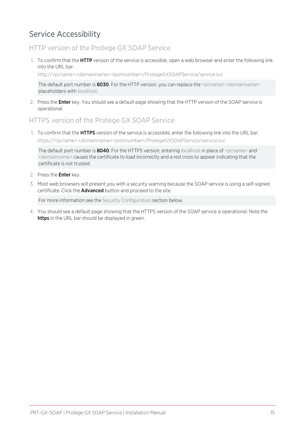### <span id="page-14-0"></span>Service Accessibility

#### HTTP version of the Protege GX SOAP Service

1. To confirm that the **HTTP** version of the service is accessible, open a web browser and enter the following link into the URL bar:

http://<pcname>.<domainname>:<portnumber>/ProtegeGXSOAPService/service.svc

The default port number is **8030**. For the HTTP version, you can replace the <pcname>.<domainname> placeholders with localhost.

2. Press the **Enter** key. You should see a default page showing that the HTTP version of the SOAP service is operational.

#### HTTPS version of the Protege GX SOAP Service

1. To confirm that the HTTPS version of the service is accessible, enter the following link into the URL bar: https://<pcname>.<domainname>:<portnumber>/ProtegeGXSOAPService/service.svc

The default port number is  $8040$ . For the HTTPS version, entering localhost in place of  $\epsilon$  pcname> and <domainname> causes the certificate to load incorrectly and a red cross to appear indicating that the certificate is not trusted.

- 2. Press the Enter key.
- 3. Most web browsers will present you with a security warning because the SOAP service is using a self-signed certificate. Click the **Advanced** button and proceed to the site.

For more information see the Security Configuration section below.

4. You should see a default page showing that the HTTPS version of the SOAP service is operational. Note the https in the URL bar should be displayed in green.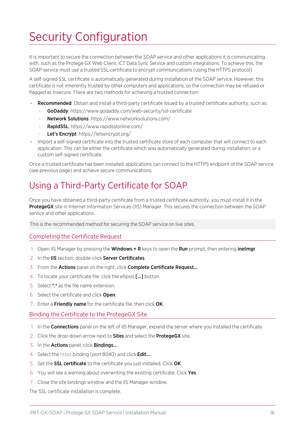# <span id="page-15-0"></span>Security Configuration

It is important to secure the connection between the SOAP service and other applications it is communicating with, such as the Protege GX Web Client, ICT Data Sync Service and custom integrations. To achieve this, the SOAP service must use a trusted SSL certificate to encrypt communications (using the HTTPS protocol).

A self-signed SSL certificate is automatically generated during installation of the SOAP service. However, this certificate is not inherently trusted by other computers and applications, so the connection may be refused or flagged as insecure. There are two methods for achieving a trusted connection:

- Recommended: Obtain and install a third-party certificate issued by a trusted certificate authority, such as:
	- GoDaddy: https://www.godaddy.com/web-security/ssl-certificate
	- Network Solutions: https://www.networksolutions.com/
	- RapidSSL: https://www.rapidsslonline.com/
	- Let's Encrypt: https://letsencrypt.org/
- ⦁ Import a self-signed certificate into the trusted certificate store of each computer that will connect to each application. This can be either the certificate which was automatically generated during installation, or a custom self-signed certificate.

<span id="page-15-1"></span>Once a trusted certificate has been installed, applications can connect to the HTTPS endpoint of the SOAP service (see [previous](#page-14-0) page) and achieve secure communications.

## Using a Third-Party Certificate for SOAP

Once you have obtained a third-party certificate from a trusted certificate authority, you must install it in the **ProtegeGX** site in Internet Information Services (IIS) Manager. This secures the connection between the SOAP service and other applications.

This is the recommended method for securing the SOAP service on live sites.

#### Completing the Certificate Request

- 1. Open IIS Manager by pressing the Windows + R keys to open the Run prompt, then entering inetmgr.
- 2. In the IIS section, double-click Server Certificates.
- 3. From the Actions panel on the right, click Complete Certificate Request...
- 4. To locate your certificate file, click the ellipsis [...] button.
- 5. Select \*.\* as the file name extension.
- 6. Select the certificate and click Open.
- 7. Enter a Friendly name for the certificate file, then click OK.

#### Binding the Certificate to the ProtegeGX Site

- 1. In the **Connections** panel on the left of IIS Manager, expand the server where you installed the certificate.
- 2. Click the drop-down arrow next to **Sites** and select the **ProtegeGX** site.
- 3. In the **Actions** panel, click **Bindings...**.
- 4. Select the https binding (port 8040) and click Edit....
- 5. Set the SSL certificate to the certificate you just installed. Click OK.
- 6. You will see a warning about overwriting the existing certificate. Click Yes.
- 7. Close the site bindings window and the IIS Manager window.

The SSL certificate installation is complete.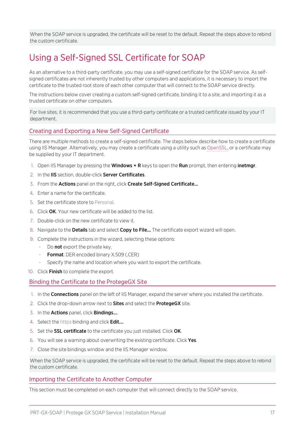<span id="page-16-0"></span>When the SOAP service is upgraded, the certificate will be reset to the default. Repeat the steps above to rebind the custom certificate.

## Using a Self-Signed SSL Certificate for SOAP

As an alternative to a third-party certificate, you may use a self-signed certificate for the SOAP service. As selfsigned certificates are not inherently trusted by other computers and applications, it is necessary to import the certificate to the trusted root store of each other computer that will connect to the SOAP service directly.

The instructions below cover creating a custom self-signed certificate, binding it to a site, and importing it as a trusted certificate on other computers.

For live sites, it is recommended that you use a third-party certificate or a trusted certificate issued by your IT department.

#### Creating and Exporting a New Self-Signed Certificate

There are multiple methods to create a self-signed certificate. The steps below describe how to create a certificate using IIS Manager. Alternatively, you may create a certificate using a utility such as [OpenSSL,](https://www.openssl.org/) or a certificate may be supplied by your IT department.

- 1. Open IIS Manager by pressing the **Windows + R** keys to open the **Run** prompt, then entering **inetmgr**.
- 2. In the IIS section, double-click Server Certificates.
- 3. From the Actions panel on the right, click Create Self-Signed Certificate...
- 4. Enter a name for the certificate.
- 5. Set the certificate store to Personal.
- 6. Click OK. Your new certificate will be added to the list.
- 7. Double-click on the new certificate to view it.
- 8. Navigate to the **Details** tab and select **Copy to File...** The certificate export wizard will open.
- 9. Complete the instructions in the wizard, selecting these options:
	- Do not export the private key.
	- Format: DER encoded binary X.509 (.CER)
	- Specify the name and location where you want to export the certificate.
- 10. Click Finish to complete the export.

#### Binding the Certificate to the ProtegeGX Site

- 1. In the **Connections** panel on the left of IIS Manager, expand the server where you installed the certificate.
- 2. Click the drop-down arrow next to **Sites** and select the **ProtegeGX** site.
- 3. In the **Actions** panel, click **Bindings...**
- 4. Select the https binding and click **Edit...**
- 5. Set the SSL certificate to the certificate you just installed. Click OK.
- 6. You will see a warning about overwriting the existing certificate. Click Yes.
- 7. Close the site bindings window and the IIS Manager window.

When the SOAP service is upgraded, the certificate will be reset to the default. Repeat the steps above to rebind the custom certificate.

#### Importing the Certificate to Another Computer

This section must be completed on each computer that will connect directly to the SOAP service.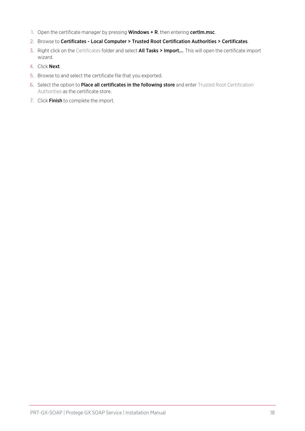- 1. Open the certificate manager by pressing **Windows + R**, then entering **certim.msc**.
- 2. Browse to Certificates Local Computer > Trusted Root Certification Authorities > Certificates.
- 3. Right click on the Certificates folder and select **All Tasks > Import...**. This will open the certificate import wizard.
- 4. Click Next.
- 5. Browse to and select the certificate file that you exported.
- 6. Select the option to Place all certificates in the following store and enter Trusted Root Certification Authorities as the certificate store.
- 7. Click Finish to complete the import.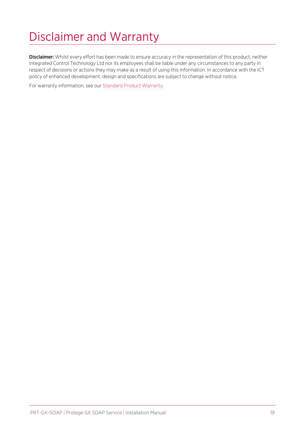# <span id="page-18-0"></span>Disclaimer and Warranty

Disclaimer: Whilst every effort has been made to ensure accuracy in the representation of this product, neither Integrated Control Technology Ltd nor its employees shall be liable under any circumstances to any party in respect of decisions or actions they may make as a result of using this information. In accordance with the ICT policy of enhanced development, design and specifications are subject to change without notice.

For warranty information, see our Standard Product [Warranty.](https://www.ict.co/Standard-Product-Warranty)